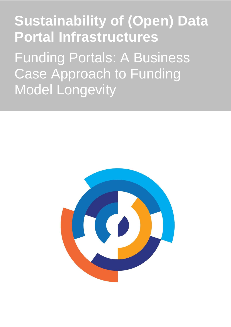**Sustainability of (Open) Data Portal Infrastructures** Funding Portals: A Business Case Approach to Funding Model Longevity

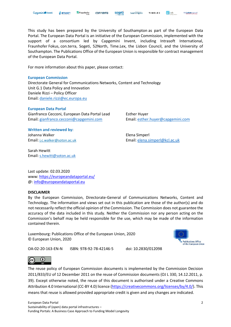This study has been prepared by the University of Southampton as part of the European Data Portal. The European Data Portal is an initiative of the European Commission, implemented with the support of a consortium led by Capgemini Invent, including Intrasoft International, Fraunhofer Fokus, con.terra, Sogeti, 52North, Time.Lex, the Lisbon Council, and the University of Southampton. The Publications Office of the European Union is responsible for contract management of the European Data Portal.

For more information about this paper, please contact:

#### **European Commission**

Directorate General for Communications Networks, Content and Technology Unit G.1 Data Policy and Innovation Daniele Rizzi – Policy Officer Email: [daniele.rizzi@ec.europa.eu](mailto:daniele.rizzi@ec.europa.eu) 

#### **European Data Portal**

Gianfranco Cecconi, European Data Portal Lead Esther Huyer Email: [gianfranco.cecconi@capgemini.com](mailto:gianfranco.cecconi@capgemini.com) Email: [esther.huyer@capgemini.com](mailto:esther.huyer@capgemini.com)

**Written and reviewed by:** Johanna Walker **Elena Simperl** 

Sarah Hewitt Email: [s.hewitt@soton.ac.uk](mailto:s.hewitt@soton.ac.uk)

Email: [j.c.walker@soton.ac.uk](mailto:j.c.walker@soton.ac.uk) Email: [elena.simperl@kcl.ac.uk](mailto:elena.simperl@kcl.ac.uk)

Last update: 02.03.2020 www:<https://europeandataportal.eu/> @: [info@europeandataportal.eu](mailto:info@europeandataportal.eu) 

#### **DISCLAIMER**

By the European Commission, Directorate-General of Communications Networks, Content and Technology. The information and views set out in this publication are those of the author(s) and do not necessarily reflect the official opinion of the Commission. The Commission does not guarantee the accuracy of the data included in this study. Neither the Commission nor any person acting on the Commission's behalf may be held responsible for the use, which may be made of the information contained therein.

Luxembourg: Publications Office of the European Union, 2020 © European Union, 2020



OA-02-20-163-EN-N ISBN: 978-92-78-42146-5 doi: 10.2830/012098



The reuse policy of European Commission documents is implemented by the Commission Decision 2011/833/EU of 12 December 2011 on the reuse of Commission documents (OJ L 330, 14.12.2011, p. 39). Except otherwise noted, the reuse of this document is authorised under a Creative Commons Attribution 4.0 International (CC-BY 4.0) licence [\(https://creativecommons.org/licenses/by/4.0/\)](https://creativecommons.org/licenses/by/4.0/). This means that reuse is allowed provided appropriate credit is given and any changes are indicated.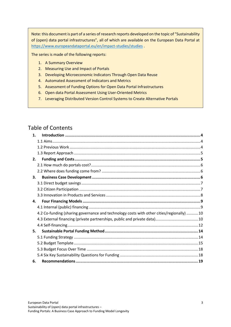Note: this document is part of a series of research reports developed on the topic of "Sustainability of (open) data portal infrastructures", all of which are available on the European Data Portal at <https://www.europeandataportal.eu/en/impact-studies/studies> .

The series is made of the following reports:

- 1. A Summary Overview
- 2. Measuring Use and Impact of Portals
- 3. Developing Microeconomic Indicators Through Open Data Reuse
- 4. Automated Assessment of Indicators and Metrics
- 5. Assessment of Funding Options for Open Data Portal Infrastructures
- 6. Open data Portal Assessment Using User-Oriented Metrics
- 7. Leveraging Distributed Version Control Systems to Create Alternative Portals

## Table of Contents

| $\mathbf 1$ . |                                                                                          |  |
|---------------|------------------------------------------------------------------------------------------|--|
|               |                                                                                          |  |
|               |                                                                                          |  |
|               |                                                                                          |  |
| 2.            |                                                                                          |  |
|               |                                                                                          |  |
|               |                                                                                          |  |
| 3.            |                                                                                          |  |
|               |                                                                                          |  |
|               |                                                                                          |  |
|               |                                                                                          |  |
| 4.            |                                                                                          |  |
|               |                                                                                          |  |
|               | 4.2 Co-funding (sharing governance and technology costs with other cities/regionally) 10 |  |
|               |                                                                                          |  |
|               |                                                                                          |  |
| 5.            |                                                                                          |  |
|               |                                                                                          |  |
|               |                                                                                          |  |
|               |                                                                                          |  |
|               |                                                                                          |  |
| 6.            |                                                                                          |  |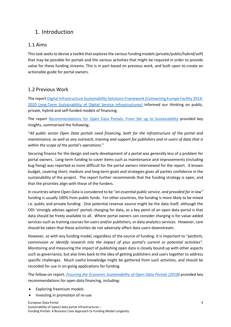## <span id="page-3-0"></span>1. Introduction

## <span id="page-3-1"></span>1.1 Aims

This task seeks to devise a toolkit that explores the various funding models (private/public/hybrid/self) that may be possible for portals and the various activities that might be required in order to provide value for these funding streams. This is in part based on previous work, and built upon to create an actionable guide for portal owners.

## <span id="page-3-2"></span>1.2 Previous Work

The repor[t Digital Infrastructure Sustainability Solutions Framework \(Connecting Europe Facility 2014-](http://publications.europa.eu/resource/cellar/ed6ddbc9-c8f2-11e7-9b01-01aa75ed71a1.0001.01/DOC_1) [2020 Long-Term Sustainability of Digital Service Infrastructures\)](http://publications.europa.eu/resource/cellar/ed6ddbc9-c8f2-11e7-9b01-01aa75ed71a1.0001.01/DOC_1) informed our thinking on public, private, hybrid and self-funded models of financing.

The report [Recommendations for Open Data Portals: From Set up to Sustainability](https://www.europeandataportal.eu/sites/default/files/edp_s3wp4_sustainability_recommendations.pdf) provided key insights, summarised the following;

"*All public sector Open Data portals need financing, both for the infrastructure of the portal and maintenance, as well as any outreach, training and support for publishers and re-users of data that is within the scope of the portal's operations*."

Securing finance for the design and early development of a portal was generally less of a problem for portal owners. Long-term funding to cover items such as maintenance and improvements (including bug fixing) was reported as more difficult for the portal owners interviewed for the report. A known budget, covering short, medium and long-term goals and strategies gives all parties confidence in the sustainability of the project. The report further recommends that the funding strategy is open, and that the priorities align with those of the funders.

In countries where Open Data is considered to be "*an essential public service, and provided for in law"* funding is usually 100% from public funds. For other countries, the funding is more likely to be mixed i.e. public and private funding. One potential revenue source might be the data itself, although the ODI 'strongly advises against' portals charging for data, as a key point of an open data portal is that data should be freely available to all. Where portal owners can consider charging is for value-added services such as training courses for users and/or publishers, or data analytics services. However, care should be taken that these activities do not adversely affect data users downstream.

However, as with any funding model, regardless of the source of funding, it is important to "*perform, commission or identify research into the impact of your portal's current or potential activities".* Monitoring and measuring the impact of publishing open data is closely bound up with other aspects such as governance, but also links back to the idea of getting publishers and users together to address specific challenges. Much useful knowledge might be gathered from such activities, and should be recorded for use in on-going applications for funding.

The follow-on report, *[Ensuring the Economic Sustainability of Open Data Portals \(2018\)](https://www.europeandataportal.eu/sites/default/files/s3wp4_sustainability_recommendations_ii.pdf)* provided key recommendations for open data financing, including:

- Exploring freemium models
- Investing in promotion of re-use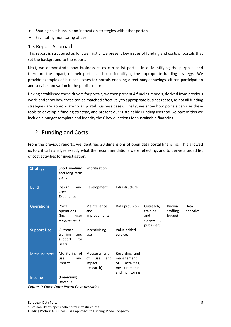- Sharing cost-burden and innovation strategies with other portals
- Facilitating monitoring of use

### <span id="page-4-0"></span>1.3 Report Approach

This report is structured as follows: firstly, we present key issues of funding and costs of portals that set the background to the report.

Next, we demonstrate how business cases can assist portals in a. identifying the purpose, and therefore the impact, of their portal, and b. in identifying the appropriate funding strategy. We provide examples of business cases for portals enabling direct budget savings, citizen participation and service innovation in the public sector.

Having established these drivers for portals, we then present 4 funding models, derived from previous work, and show how these can be matched effectively to appropriate business cases, as not all funding strategies are appropriate to all portal business cases. Finally, we show how portals can use these tools to develop a funding strategy, and present our Sustainable Funding Method. As part of this we include a budget template and identify the 6 key questions for sustainable financing.

# <span id="page-4-1"></span>2. Funding and Costs

From the previous reports, we identified 20 dimensions of open data portal financing. This allowed us to critically analyse exactly what the recommendations were reflecting, and to derive a broad list of cost activities for investigation.

| <b>Strategy</b>    | Short, medium<br>and long term<br>goals                 | Prioritisation                                          |                                                                                    |                                                           |                             |                   |
|--------------------|---------------------------------------------------------|---------------------------------------------------------|------------------------------------------------------------------------------------|-----------------------------------------------------------|-----------------------------|-------------------|
| <b>Build</b>       | Design<br>and<br>User<br>Experience                     | Development                                             | Infrastructure                                                                     |                                                           |                             |                   |
| <b>Operations</b>  | Portal<br>operations<br>(inc<br>user<br>engagement)     | Maintenance<br>and<br>improvements                      | Data provision                                                                     | Outreach,<br>training<br>and<br>support for<br>publishers | Known<br>staffing<br>budget | Data<br>analytics |
| <b>Support Use</b> | Outreach,<br>training<br>and<br>for<br>support<br>users | Incentivising<br>use                                    | Value-added<br>services                                                            |                                                           |                             |                   |
| <b>Measurement</b> | Monitoring of<br>and<br>use<br>impact                   | Measurement<br>of<br>and<br>use<br>impact<br>(research) | Recording and<br>management<br>of<br>activities,<br>measurements<br>and monitoring |                                                           |                             |                   |
| Income             | (Freemium)<br>Revenue                                   |                                                         |                                                                                    |                                                           |                             |                   |

*Figure 1: Open Data Portal Cost Activities*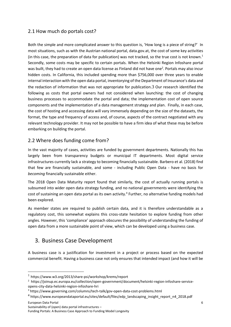## <span id="page-5-0"></span>2.1 How much do portals cost?

Both the simple and more complicated answer to this question is, 'How long is a piece of string?' In most situations, such as with the Austrian national portal, data.gov.at, the cost of some key activities (in this case, the preparation of data for publication) was not tracked, so the true cost is not known.<sup>1</sup> Secondly, some costs may be specific to certain portals. When the Helsinki Region Infoshare portal was built, they had to create an open data license as Finland did not have one<sup>2</sup>. Portals may also incur hidden costs. In California, this included spending more than \$756,000 over three years to enable internal interaction with the open data portal, inventorying of the Department of Insurance's data and the redaction of information that was not appropriate for publication.3 Our research identified the following as costs that portal owners had not considered when launching: the cost of changing business processes to accommodate the portal and data; the implementation cost of open source components and the implementation of a data management strategy and plan. Finally, in each case, the cost of hosting and accessing data will vary immensely depending on the size of the datasets, the format, the type and frequency of access and, of course, aspects of the contract negotiated with any relevant technology provider. It may not be possible to have a firm idea of what these may be before embarking on building the portal.

## <span id="page-5-1"></span>2.2 Where does funding come from?

In the vast majority of cases, activities are funded by government departments. Nationally this has largely been from transparency budgets or municipal IT departments. Most digital service infrastructures currently lack a strategy to becoming financially sustainable. Barbero et al. (2018) find that few are financially sustainable, and some - including Public Open Data - have no basis for *becoming* financially sustainable either.

The 2018 Open Data Maturity report found that similarly, the cost of actually running portals is subsumed into wider open data strategy funding, and no national governments were identifying the cost of sustaining an open data portal as its own activity.<sup>4</sup> Further, no alternative funding models had been explored.

As member states are required to publish certain data, and it is therefore understandable as a regulatory cost, this somewhat explains this cross-state hesitation to explore funding from other angles. However, this 'compliance' approach obscures the possibility of understanding the funding of open data from a more sustainable point of view, which can be developed using a business case.

# <span id="page-5-2"></span>3. Business Case Development

A business case is a justification for investment in a project or process based on the expected commercial benefit. Having a business case not only ensures that intended impact (and how it will be

European Data Portal

Sustainability of (open) data portal infrastructures –

<sup>1</sup> <https://www.w3.org/2013/share-psi/workshop/krems/report>

<sup>2</sup> https://joinup.ec.europa.eu/collection/open-government/document/helsinki-region-infoshare-serviceopens-city-data-helsinki-region-infoshare-hri

<sup>3</sup> https://www.governing.com/columns/tech-talk/gov-open-data-cost-problems.html

<sup>4</sup> https://www.europeandataportal.eu/sites/default/files/edp\_landscaping\_insight\_report\_n4\_2018.pdf

Funding Portals: A Business Case Approach to Funding Model Longevity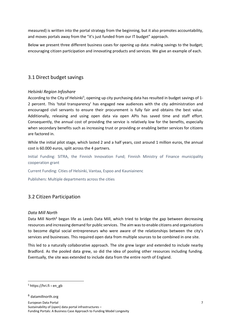measured) is written into the portal strategy from the beginning, but it also promotes accountability, and moves portals away from the "it's just funded from our IT budget" approach.

Below we present three different business cases for opening up data: making savings to the budget; encouraging citizen participation and innovating products and services. We give an example of each.

## <span id="page-6-0"></span>3.1 Direct budget savings

### *Helsinki Region Infoshare*

According to the City of Helsinki<sup>5</sup>, opening up city purchasing data has resulted in budget savings of 1-2 percent. This 'total transparency' has engaged new audiences with the city administration and encouraged civil servants to ensure their procurement is fully fair and obtains the best value. Additionally, releasing and using open data via open APIs has saved time and staff effort. Consequently, the annual cost of providing the service is relatively low for the benefits, especially when secondary benefits such as increasing trust or providing or enabling better services for citizens are factored in.

While the initial pilot stage, which lasted 2 and a half years, cost around 1 million euros, the annual cost is 60.000 euros, split across the 4 partners.

Initial Funding: SITRA, the Finnish Innovation Fund; Finnish Ministry of Finance municipality cooperation grant

Current Funding: Cities of Helsinki, Vantaa, Espoo and Kauniainenc

Publishers: Multiple departments across the cities

### <span id="page-6-1"></span>3.2 Citizen Participation

#### *Data Mill North*

Data Mill North<sup>6</sup> began life as Leeds Data Mill, which tried to bridge the gap between decreasing resources and increasing demand for public services. The aim was to enable citizens and organisations to become digital social entrepreneurs who were aware of the relationships between the city's services and businesses. This required open data from multiple sources to be combined in one site.

This led to a naturally collaborative approach. The site grew larger and extended to include nearby Bradford. As the pooled data grew, so did the idea of pooling other resources including funding. Eventually, the site was extended to include data from the entire north of England.

 $5$  https://hri.fi > en\_gb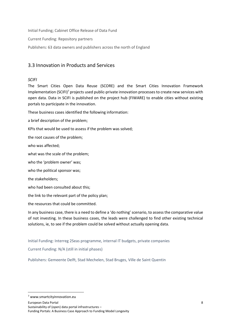Initial Funding; Cabinet Office Release of Data Fund

Current Funding: Repository partners

Publishers: 63 data owners and publishers across the north of England

## <span id="page-7-0"></span>3.3 Innovation in Products and Services

### *SCIFI*

The Smart Cities Open Data Reuse (SCORE) and the Smart Cities Innovation Framework Implementation (SCIFI) $^7$  projects used public-private innovation processes to create new services with open data. Data in SCIFI is published on the project hub (FIWARE) to enable cities without existing portals to participate in the innovation.

These business cases identified the following information:

a brief description of the problem;

KPIs that would be used to assess if the problem was solved;

the root causes of the problem;

who was affected;

what was the scale of the problem;

who the 'problem owner' was;

who the political sponsor was;

the stakeholders;

who had been consulted about this;

the link to the relevant part of the policy plan;

the resources that could be committed.

In any business case, there is a need to define a 'do nothing' scenario, to assess the comparative value of not investing. In these business cases, the leads were challenged to find other existing technical solutions, ie, to see if the problem could be solved without actually opening data.

Initial Funding: Interreg 2Seas programme, internal IT budgets, private companies

Current Funding: N/A (still in initial phases)

Publishers: Gemeente Delft, Stad Mechelen, Stad Bruges, Ville de Saint Quentin

European Data Portal

Sustainability of (open) data portal infrastructures –

Funding Portals: A Business Case Approach to Funding Model Longevity

<sup>7</sup> www.smartcityinnovation.eu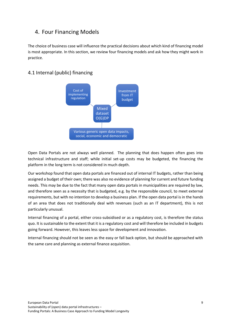## <span id="page-8-0"></span>4. Four Financing Models

The choice of business case will influence the practical decisions about which kind of financing model is most appropriate. In this section, we review four financing models and ask how they might work in practice.

## <span id="page-8-1"></span>4.1 Internal (public) financing



Open Data Portals are not always well planned. The planning that does happen often goes into technical infrastructure and staff; while initial set-up costs may be budgeted, the financing the platform in the long term is not considered in much depth.

Our workshop found that open data portals are financed out of internal IT budgets, rather than being assigned a budget of their own; there was also no evidence of planning for current and future funding needs. This may be due to the fact that many open data portals in municipalities are required by law, and therefore seen as a necessity that is budgeted, e.g. by the responsible council, to meet external requirements, but with no intention to develop a business plan. If the open data portal is in the hands of an area that does not traditionally deal with revenues (such as an IT department), this is not particularly unusual.

Internal financing of a portal, either cross-subsidised or as a regulatory cost, is therefore the status quo. It is sustainable to the extent that it is a regulatory cost and will therefore be included in budgets going forward. However, this leaves less space for development and innovation.

Internal financing should not be seen as the easy or fall back option, but should be approached with the same care and planning as external finance acquisition.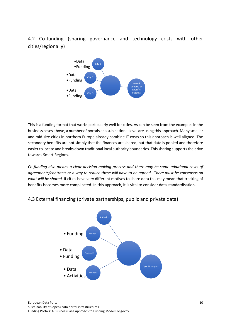<span id="page-9-0"></span>4.2 Co-funding (sharing governance and technology costs with other cities/regionally)



This is a funding format that works particularly well for cities. As can be seen from the examples in the business cases above, a number of portals at a sub national level are using this approach. Many smaller and mid-size cities in northern Europe already combine IT costs so this approach is well aligned. The secondary benefits are not simply that the finances are shared, but that data is pooled and therefore easier to locate and breaks down traditional local authority boundaries. This sharing supports the drive towards Smart Regions.

*Co funding also means a clear decision making process and there may be some additional costs of agreements/contracts or a way to reduce these will have to be agreed. There must be consensus on what will be shared.* If cities have very different motives to share data this may mean that tracking of benefits becomes more complicated. In this approach, it is vital to consider data standardisation.

## <span id="page-9-1"></span>4.3 External financing (private partnerships, public and private data)

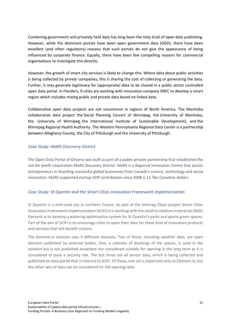Combining government and privately held data has long been the Holy Grail of open data publishing. However, while the dominant portals have been open government data (OGD), there have been excellent (and often regulatory) reasons that such portals do not give the appearance of being influenced by corporate finance. Equally, there have been few compelling reasons for commercial organisations to investigate this directly.

However, the growth of smart city services is likely to change this. Where data about public activities is being collected by private companies, this is sharing the cost of collecting or generating the data. Further, it may generate legitimacy for (appropriate) data to be shared in a public sector controlled open data portal. In Flanders, 9 cities are working with innovation company IMEC to develop a smart region which includes mixing public and private data based on linked data.

Collaborative open data projects are not uncommon in regions of North America. The Manitoba collaborative data project the Social Planning Council of Winnipeg, the University of Manitoba, the University of Winnipeg, the International Institute of Sustainable Development), and the Winnipeg Regional Health Authority. The Western Pennsylvania Regional Data Center is a partnership between Allegheny County, the City of Pittsburgh and the University of Pittsburgh.

### *Case Study: MaRS Discovery District*

The Open Data Portal of Ontario was built as part of a public-private partnership that established the not-for-profit corporation MaRS Discovery District. MaRS is a Regional Innovation Centre that assists entrepreneurs in founding successful global businesses from Canada's science, technology and social innovation. MaRS-supported startup GDP contribution since 2008 is 11.7bn Canadian dollars.

### *Case Study: St Quentin and the Smart Cities Innovation Framework Implementation*

St Quentin is a mid-sized city in northern France. As part of the Interreg 2Seas project Smart Cities Innovation Framework Implementation (SCIFI) it is working with the small to medium enterprise (SME) Element.io to develop a watering optimization system for St Quentin's parks and sports green spaces. Part of the aim of SCIFI is to encourage cities to open their data for these kind of innovative products and services that will benefit citizens.

The Element.io solution uses 6 different datasets. Two of these, including weather data, are open datasets published by external bodies. One, a calendar of bookings of the spaces, is used in the solution but is not published anywhere nor considered suitable for opening in the long term as it is considered to pose a security risk. The last three are all sensor data, which is being collected and published on data portal that is internal to SCIFI. Of these, one set is important only to Element.io, but the other sets of data can be considered for full opening later.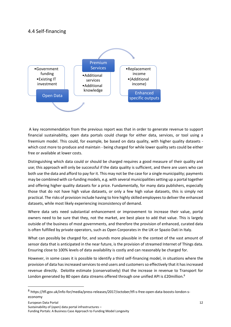## <span id="page-11-0"></span>4.4 Self-financing



A key recommendation from the previous report was that in order to generate revenue to support financial sustainability, open data portals could charge for either data, services, or tool using a freemium model. This could, for example, be based on data quality, with higher quality datasets which cost more to produce and maintain - being charged for while lower quality sets could be either free or available at lower costs.

Distinguishing which data could or should be charged requires a good measure of their quality and use; this approach will only be successful if the data quality is sufficient, and there are users who can both use the data and afford to pay for it. This may not be the case for a single municipality; payments may be combined with co-funding models, e.g. with several municipalities setting up a portal together and offering higher quality datasets for a price. Fundamentally, for many data publishers, especially those that do not have high value datasets, or only a few high value datasets, this is simply not practical. The risks of provision include having to hire highly skilled employees to deliver the enhanced datasets, while most likely experiencing inconsistency of demand.

Where data sets need substantial enhancement or improvement to increase their value, portal owners need to be sure that they, not the market, are best place to add that value. This is largely outside of the business of most governments, and therefore the provision of enhanced, curated data is often fulfilled by private operators, such as Open Corporates in the UK or Spazio Dati in Italy.

What can possibly be charged for, and sounds more plausible in the context of the vast amount of sensor data that is anticipated in the near future, is the provision of streamed Internet of Things data. Ensuring close to 100% levels of data availability is costly and can reasonably be charged for.

However, in some cases it is possible to identify a third self-financing model, in situations where the provision of data has increased services to end users and customers so effectively that it has increased revenue directly. Deloitte estimate (conservatively) that the increase in revenue to Transport for London generated by 80 open data streams offered through one unified API is  $£20$ million.<sup>8</sup>

Sustainability of (open) data portal infrastructures –

Funding Portals: A Business Case Approach to Funding Model Longevity

<sup>8</sup> https://tfl.gov.uk/info-for/media/press-releases/2017/october/tfl-s-free-open-data-boosts-london-seconomy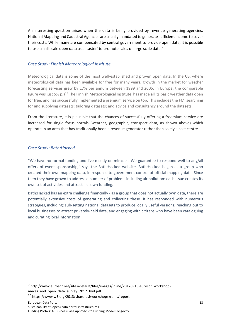An interesting question arises when the data is being provided by revenue generating agencies. National Mapping and Cadastral Agencies are usually mandated to generate sufficient income to cover their costs. While many are compensated by central government to provide open data, it is possible to use small scale open data as a 'taster' to promote sales of large scale data.<sup>9</sup>

#### *Case Study: Finnish Meteorological Institute.*

Meteorological data is some of the most well-established and proven open data. In the US, where meteorological data has been available for free for many years, growth in the market for weather forecasting services grew by 17% per annum between 1999 and 2006. In Europe, the comparable figure was just 5%  $p.a^{10}$  The Finnish Meteorological Institute has made all its basic weather data open for free, and has successfully implemented a premium service on top. This includes the FMI searching for and supplying datasets; tailoring datasets; and advice and consultancy around the datasets.

From the literature, it is plausible that the chances of successfully offering a freemium service are increased for single focus portals (weather, geographic, transport data, as shown above) which operate in an area that has traditionally been a revenue generator rather than solely a cost centre.

#### *Case Study: Bath:Hacked*

"We have no formal funding and live mostly on miracles. We guarantee to respond well to any/all offers of event sponsorship," says the Bath:Hacked website. Bath:Hacked began as a group who created their own mapping data, in response to government control of official mapping data. Since then they have grown to address a number of problems including air pollution: each issue creates its own set of activities and attracts its own funding.

<span id="page-12-0"></span>Bath:Hacked has an extra challenge financially - as a group that does not actually own data, there are potentially extensive costs of generating and collecting these. It has responded with numerous strategies, including: sub-setting national datasets to produce locally useful versions; reaching out to local businesses to attract privately-held data, and engaging with citizens who have been cataloguing and curating local information.

European Data Portal Sustainability of (open) data portal infrastructures –

Funding Portals: A Business Case Approach to Funding Model Longevity

<sup>&</sup>lt;sup>9</sup> http://www.eurosdr.net/sites/default/files/images/inline/20170918-eurosdr\_workshopnmcas\_and\_open\_data\_survey\_2017\_fwd.pdf

<sup>10</sup> https://www.w3.org/2013/share-psi/workshop/krems/report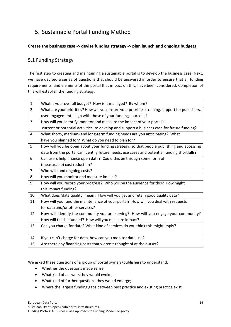# 5. Sustainable Portal Funding Method

### **Create the business case -> devise funding strategy -> plan launch and ongoing budgets**

## <span id="page-13-0"></span>5.1 Funding Strategy

The first step to creating and maintaining a sustainable portal is to develop the business case. Next, we have devised a series of questions that should be answered in order to ensure that all funding requirements, and elements of the portal that impact on this, have been considered. Completion of this will establish the funding strategy.

| $\mathbf{1}$   | What is your overall budget? How is it managed? By whom?                                         |  |  |  |
|----------------|--------------------------------------------------------------------------------------------------|--|--|--|
| $\overline{2}$ | What are your priorities? How will you ensure your priorities (training, support for publishers, |  |  |  |
|                | user engagement) align with those of your funding source(s)?                                     |  |  |  |
| 3              | How will you identify, monitor and measure the impact of your portal's                           |  |  |  |
|                | current or potential activities, to develop and support a business case for future funding?      |  |  |  |
| 4              | What short-, medium- and long-term funding needs are you anticipating? What                      |  |  |  |
|                | have you planned for? What do you need to plan for?                                              |  |  |  |
| 5              | How will you be open about your funding strategy, so that people publishing and accessing        |  |  |  |
|                | data from the portal can identify future needs, use cases and potential funding shortfalls?      |  |  |  |
| 6              | Can users help finance open data? Could this be through some form of                             |  |  |  |
|                | (measurable) cost reduction?                                                                     |  |  |  |
| $\overline{7}$ | Who will fund ongoing costs?                                                                     |  |  |  |
|                |                                                                                                  |  |  |  |
| 8              | How will you monitor and measure impact?                                                         |  |  |  |
| 9              | How will you record your progress? Who will be the audience for this? How might                  |  |  |  |
|                | this impact funding?                                                                             |  |  |  |
| 10             | What does 'data quality' mean? How will you get and retain good quality data?                    |  |  |  |
| 11             | How will you fund the maintenance of your portal? How will you deal with requests                |  |  |  |
|                | for data and/or other services?                                                                  |  |  |  |
| 12             | How will identify the community you are serving? How will you engage your community?             |  |  |  |
|                | How will this be funded? How will you measure impact?                                            |  |  |  |
| 13             | Can you charge for data? What kind of services do you think this might imply?                    |  |  |  |
|                |                                                                                                  |  |  |  |
| 14             | If you can't charge for data, how can you monitor data use?                                      |  |  |  |

We asked these questions of a group of portal owners/publishers to understand:

- Whether the questions made sense;
- What kind of answers they would evoke;
- What kind of further questions they would emerge;
- Where the largest funding gaps between best practice and existing practice exist.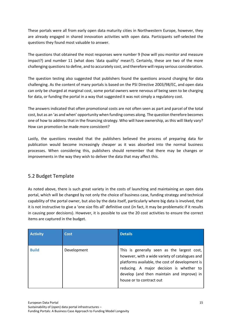These portals were all from early open data maturity cities in Northwestern Europe, however, they are already engaged in shared innovation activities with open data. Participants self-selected the questions they found most valuable to answer.

The questions that obtained the most responses were number 9 (how will you monitor and measure impact?) and number 11 (what does 'data quality' mean?). Certainly, these are two of the more challenging questions to define, and to accurately cost, and therefore will repay serious consideration.

The question testing also suggested that publishers found the questions around charging for data challenging. As the content of many portals is based on the PSI Directive 2003/98/EC, and open data can only be charged at marginal cost, some portal owners were nervous of being seen to be charging for data, or funding the portal in a way that suggested it was not simply a regulatory cost.

The answers indicated that often promotional costs are not often seen as part and parcel of the total cost, but as an 'as and when' opportunity when funding comes along. The question therefore becomes one of how to address that in the financing strategy. Who will have ownership, as this will likely vary? How can promotion be made more consistent?

Lastly, the questions revealed that the publishers believed the process of preparing data for publication would become increasingly cheaper as it was absorbed into the normal business processes. When considering this, publishers should remember that there may be changes or improvements in the way they wish to deliver the data that may affect this.

## <span id="page-14-0"></span>5.2 Budget Template

As noted above, there is such great variety in the costs of launching and maintaining an open data portal, which will be changed by not only the choice of business case, funding strategy and technical capability of the portal owner, but also by the data itself, particularly where big data is involved, that it is not instructive to give a 'one size fits all' definitive cost (in fact, it may be problematic if it results in causing poor decisions). However, it is possible to use the 20 cost activities to ensure the correct items are captured in the budget.

| <b>Activity</b> | <b>Cost</b> | <b>Details</b>                                                                                                                                                                                                                                                         |
|-----------------|-------------|------------------------------------------------------------------------------------------------------------------------------------------------------------------------------------------------------------------------------------------------------------------------|
| <b>Build</b>    | Development | This is generally seen as the largest cost,<br>however, with a wide variety of catalogues and<br>platforms available, the cost of development is<br>reducing. A major decision is whether to<br>develop (and then maintain and improve) in<br>house or to contract out |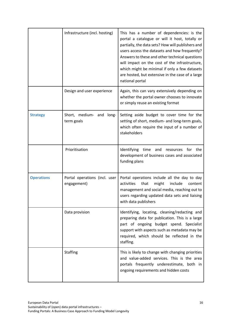|                   | Infrastructure (incl. hosting)               | This has a number of dependencies: is the<br>portal a catalogue or will it host, totally or<br>partially, the data sets? How will publishers and<br>users access the datasets and how frequently?<br>Answers to these and other technical questions<br>will impact on the cost of the infrastructure,<br>which might be minimal if only a few datasets<br>are hosted, but extensive in the case of a large<br>national portal |
|-------------------|----------------------------------------------|-------------------------------------------------------------------------------------------------------------------------------------------------------------------------------------------------------------------------------------------------------------------------------------------------------------------------------------------------------------------------------------------------------------------------------|
|                   | Design and user experience                   | Again, this can vary extensively depending on<br>whether the portal owner chooses to innovate<br>or simply reuse an existing format                                                                                                                                                                                                                                                                                           |
| <b>Strategy</b>   | Short, medium- and<br>long-<br>term goals    | Setting aside budget to cover time for the<br>setting of short, medium- and long-term goals,<br>which often require the input of a number of<br>stakeholders                                                                                                                                                                                                                                                                  |
|                   | Prioritisation                               | time and<br>Identifying<br>resources for the<br>development of business cases and associated<br>funding plans                                                                                                                                                                                                                                                                                                                 |
| <b>Operations</b> | Portal operations (incl. user<br>engagement) | Portal operations include all the day to day<br>activities<br>include<br>that<br>might<br>content<br>management and social media, reaching out to<br>users regarding updated data sets and liaising<br>with data publishers                                                                                                                                                                                                   |
|                   | Data provision                               | Identifying, locating, cleaning/redacting and<br>preparing data for publication. This is a large<br>part of ongoing budget spend. Specialist<br>support with aspects such as metadata may be<br>required, which should be reflected in the<br>staffing.                                                                                                                                                                       |
|                   | <b>Staffing</b>                              | This is likely to change with changing priorities<br>and value-added services. This is the area<br>portals frequently underestimate, both in<br>ongoing requirements and hidden costs                                                                                                                                                                                                                                         |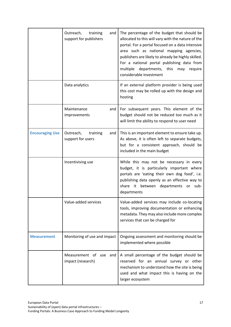|                        | Outreach,<br>training<br>and<br>support for publishers | The percentage of the budget that should be<br>allocated to this will vary with the nature of the<br>portal. For a portal focused on a data intensive<br>area such as national mapping agencies,<br>publishers are likely to already be highly skilled.<br>For a national portal publishing data from<br>multiple departments, this may require<br>considerable investment |
|------------------------|--------------------------------------------------------|----------------------------------------------------------------------------------------------------------------------------------------------------------------------------------------------------------------------------------------------------------------------------------------------------------------------------------------------------------------------------|
|                        | Data analytics                                         | If an external platform provider is being used<br>this cost may be rolled up with the design and<br>hosting                                                                                                                                                                                                                                                                |
|                        | Maintenance<br>and<br>improvements                     | For subsequent years. This element of the<br>budget should not be reduced too much as it<br>will limit the ability to respond to user need                                                                                                                                                                                                                                 |
| <b>Encouraging Use</b> | Outreach,<br>training<br>and<br>support for users      | This is an important element to ensure take up.<br>As above, it is often left to separate budgets,<br>but for a consistent approach, should be<br>included in the main budget                                                                                                                                                                                              |
|                        | Incentivising use                                      | While this may not be necessary in every<br>budget, it is particularly important where<br>portals are 'eating their own dog food', i.e.<br>publishing data openly as an effective way to<br>share it between departments or sub-<br>departments                                                                                                                            |
|                        | Value-added services                                   | Value-added services may include co-locating<br>tools, improving documentation or enhancing<br>metadata. They may also include more complex<br>services that can be charged for                                                                                                                                                                                            |
| <b>Measurement</b>     | Monitoring of use and impact                           | Ongoing assessment and monitoring should be<br>implemented where possible                                                                                                                                                                                                                                                                                                  |
|                        | Measurement of<br>use<br>and<br>impact (research)      | A small percentage of the budget should be<br>reserved for an annual survey or other<br>mechanism to understand how the site is being<br>used and what impact this is having on the<br>larger ecosystem                                                                                                                                                                    |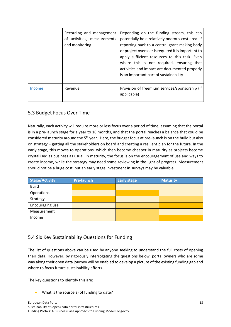|       | Recording and management<br>activities, measurements<br>of<br>and monitoring | Depending on the funding stream, this can<br>potentially be a relatively onerous cost area. If<br>reporting back to a central grant making body<br>or project overseer is required it is important to<br>apply sufficient resources to this task. Even<br>where this is not required, ensuring that<br>activities and impact are documented properly<br>is an important part of sustainability |
|-------|------------------------------------------------------------------------------|------------------------------------------------------------------------------------------------------------------------------------------------------------------------------------------------------------------------------------------------------------------------------------------------------------------------------------------------------------------------------------------------|
| ncome | Revenue                                                                      | Provision of freemium services/sponsorship (if<br>applicable)                                                                                                                                                                                                                                                                                                                                  |

## <span id="page-17-0"></span>5.3 Budget Focus Over Time

Naturally, each activity will require more or less focus over a period of time, assuming that the portal is in a pre-launch stage for a year to 18 months, and that the portal reaches a balance that could be considered maturity around the 5<sup>th</sup> year. Here, the budget focus at pre-launch is on the build but also on strategy – getting all the stakeholders on board and creating a resilient plan for the future. In the early stage, this moves to operations, which then become cheaper in maturity as projects become crystallised as business as usual. In maturity, the focus is on the encouragement of use and ways to create income, while the strategy may need some reviewing in the light of progress. Measurement should not be a huge cost, but an early stage investment in surveys may be valuable.

| <b>Stage/Activity</b> | <b>Pre-launch</b> | <b>Early stage</b> | <b>Maturity</b> |
|-----------------------|-------------------|--------------------|-----------------|
| <b>Build</b>          |                   |                    |                 |
| Operations            |                   |                    |                 |
| Strategy              |                   |                    |                 |
| Encouraging use       |                   |                    |                 |
| Measurement           |                   |                    |                 |
| Income                |                   |                    |                 |

## <span id="page-17-1"></span>5.4 Six Key Sustainability Questions for Funding

The list of questions above can be used by anyone seeking to understand the full costs of opening their data. However, by rigorously interrogating the questions below, portal owners who are some way along their open data journey will be enabled to develop a picture of the existing funding gap and where to focus future sustainability efforts.

The key questions to identify this are:

• What is the source(s) of funding to date?